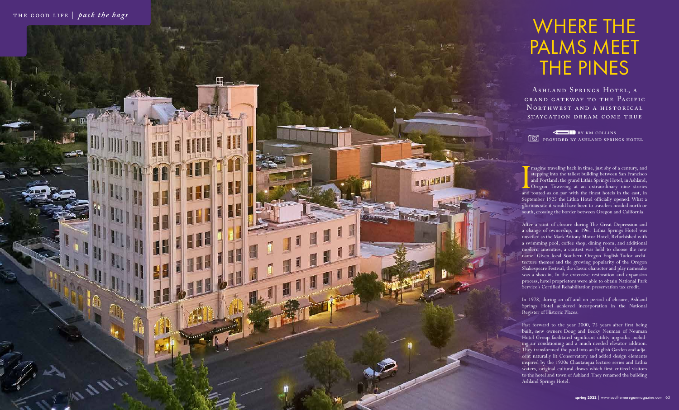Imagine traveling back in time, just shy of a century, and stepping into the tallest building between San Francisco and Portland: the grand Lithia Springs Hotel, in Ashland, Oregon. Towering at an extraordinary nine storie magine traveling back in time, just shy of a century, and stepping into the tallest building between San Francisco and Portland: the grand Lithia Springs Hotel, in Ashland, **C**Oregon. Towering at an extraordinary nine stories September 1925 the Lithia Hotel officially opened. What a glorious site it would have been to travelers headed north or south, crossing the border between Oregon and California.

After a stint of closure during The Great Depression and a change of ownership, in 1961 Lithia Springs Hotel was unveiled as the Mark Antony Motor Hotel. Refurbished with a swimming pool, coffee shop, dining room, and additional modern amenities, a contest was held to choose the new name. Given local Southern Oregon English Tudor architecture themes and the growing popularity of the Oregon Shakespeare Festival, the classic character and play namesake was a shoo-in. In the extensive restoration and expansion process, hotel proprietors were able to obtain National Park Service's Certified Rehabilitation preservation tax credit.

In 1978, during an off and on period of closure, Ashland Springs Hotel achieved incorporation in the National Register of Historic Places.

Fast forward to the year 2000, 75 years after first being built, new owners Doug and Becky Neuman of Neuman Hotel Group facilitated significant utility upgrades including air conditioning and a much needed elevator addition. They transformed the pool into an English Garden and adjacent naturally lit Conservatory and added design elements inspired by the 1920s Chautauqua lecture series and Lithia waters, original cultural draws which first enticed visitors to the hotel and town of Ashland. They renamed the building Ashland Springs Hotel.

## WHERE THE PALMS MEET THE PINES

Ashland Springs Hotel, a grand gateway to the Pacific NORTHWEST AND A HISTORICAL staycation dream come true

**BY KM COLLINS PROVIDED BY ASHLAND SPRINGS HOTEL**